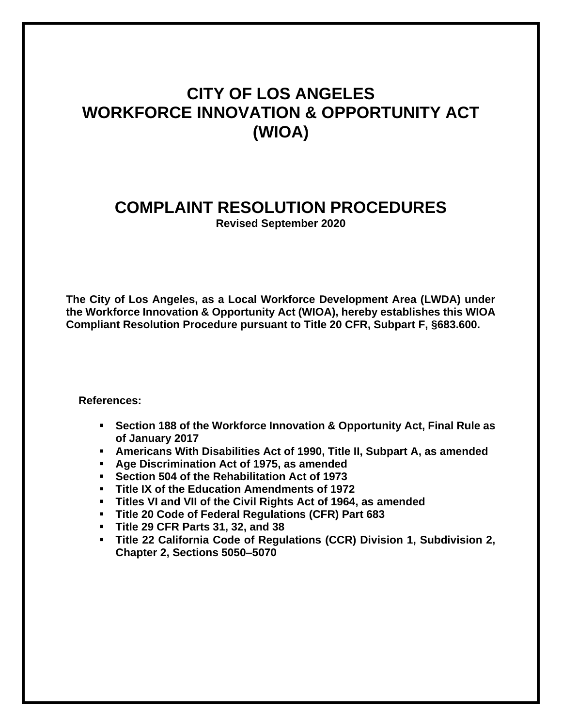# **CITY OF LOS ANGELES WORKFORCE INNOVATION & OPPORTUNITY ACT (WIOA)**

# **COMPLAINT RESOLUTION PROCEDURES**

**Revised September 2020**

**The City of Los Angeles, as a Local Workforce Development Area (LWDA) under the Workforce Innovation & Opportunity Act (WIOA), hereby establishes this WIOA Compliant Resolution Procedure pursuant to Title 20 CFR, Subpart F, §683.600.**

**References:**

- Section 188 of the Workforce Innovation & Opportunity Act, Final Rule as **of January 2017**
- **Americans With Disabilities Act of 1990, Title II, Subpart A, as amended**
- **Age Discrimination Act of 1975, as amended**
- **Section 504 of the Rehabilitation Act of 1973**
- **Title IX of the Education Amendments of 1972**
- **Titles VI and VII of the Civil Rights Act of 1964, as amended**
- **Title 20 Code of Federal Regulations (CFR) Part 683**
- **Title 29 CFR Parts 31, 32, and 38**
- **Title 22 California Code of Regulations (CCR) Division 1, Subdivision 2, Chapter 2, Sections 5050–5070**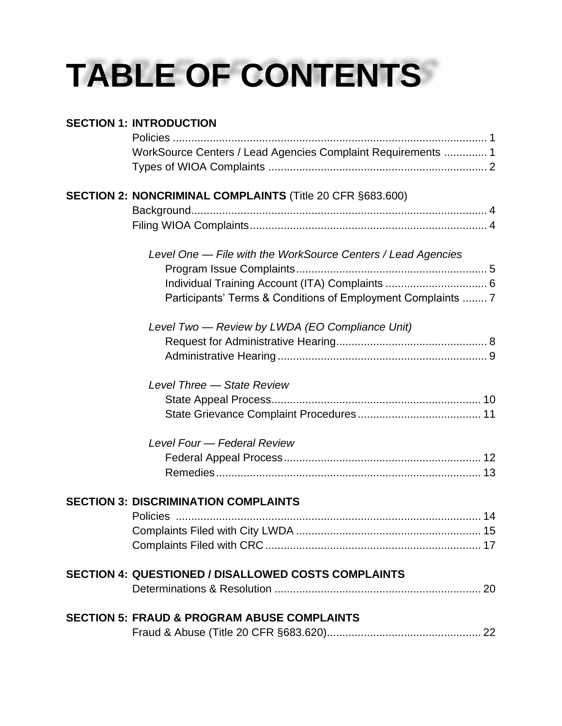# **TABLE OF CONTENTS**

| <b>SECTION 1: INTRODUCTION</b>                               |  |
|--------------------------------------------------------------|--|
|                                                              |  |
| WorkSource Centers / Lead Agencies Complaint Requirements  1 |  |
|                                                              |  |
| SECTION 2: NONCRIMINAL COMPLAINTS (Title 20 CFR §683.600)    |  |
|                                                              |  |
|                                                              |  |
| Level One — File with the WorkSource Centers / Lead Agencies |  |
|                                                              |  |
|                                                              |  |
| Participants' Terms & Conditions of Employment Complaints  7 |  |
| Level Two - Review by LWDA (EO Compliance Unit)              |  |
|                                                              |  |
|                                                              |  |
| Level Three - State Review                                   |  |
|                                                              |  |
|                                                              |  |
| Level Four - Federal Review                                  |  |
|                                                              |  |
|                                                              |  |
| <b>SECTION 3: DISCRIMINATION COMPLAINTS</b>                  |  |
|                                                              |  |
|                                                              |  |
|                                                              |  |
| <b>SECTION 4: QUESTIONED / DISALLOWED COSTS COMPLAINTS</b>   |  |
|                                                              |  |
| <b>SECTION 5: FRAUD &amp; PROGRAM ABUSE COMPLAINTS</b>       |  |
|                                                              |  |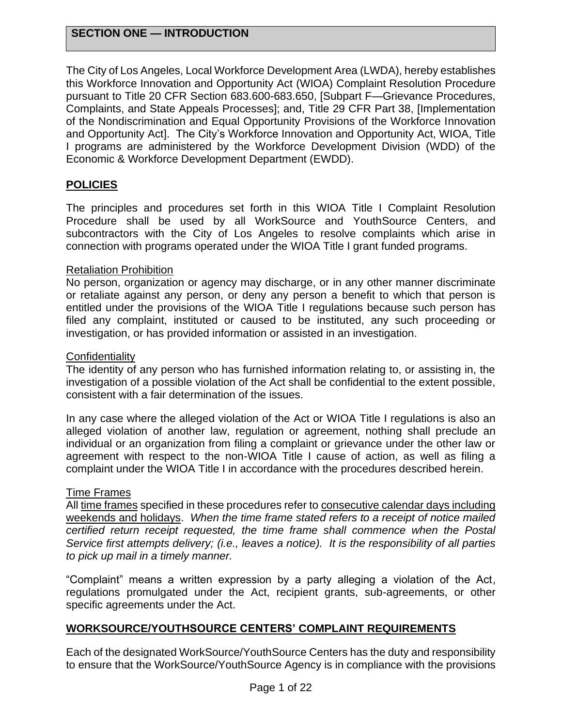#### **SECTION ONE — INTRODUCTION**

The City of Los Angeles, Local Workforce Development Area (LWDA), hereby establishes this Workforce Innovation and Opportunity Act (WIOA) Complaint Resolution Procedure pursuant to Title 20 CFR Section 683.600-683.650, [Subpart F—Grievance Procedures, Complaints, and State Appeals Processes]; and, Title 29 CFR Part 38, [Implementation of the Nondiscrimination and Equal Opportunity Provisions of the Workforce Innovation and Opportunity Act]. The City's Workforce Innovation and Opportunity Act, WIOA, Title I programs are administered by the Workforce Development Division (WDD) of the Economic & Workforce Development Department (EWDD).

#### **POLICIES**

The principles and procedures set forth in this WIOA Title I Complaint Resolution Procedure shall be used by all WorkSource and YouthSource Centers, and subcontractors with the City of Los Angeles to resolve complaints which arise in connection with programs operated under the WIOA Title I grant funded programs.

#### Retaliation Prohibition

No person, organization or agency may discharge, or in any other manner discriminate or retaliate against any person, or deny any person a benefit to which that person is entitled under the provisions of the WIOA Title I regulations because such person has filed any complaint, instituted or caused to be instituted, any such proceeding or investigation, or has provided information or assisted in an investigation.

#### **Confidentiality**

The identity of any person who has furnished information relating to, or assisting in, the investigation of a possible violation of the Act shall be confidential to the extent possible, consistent with a fair determination of the issues.

In any case where the alleged violation of the Act or WIOA Title I regulations is also an alleged violation of another law, regulation or agreement, nothing shall preclude an individual or an organization from filing a complaint or grievance under the other law or agreement with respect to the non-WIOA Title I cause of action, as well as filing a complaint under the WIOA Title I in accordance with the procedures described herein.

#### Time Frames

All time frames specified in these procedures refer to consecutive calendar days including weekends and holidays. *When the time frame stated refers to a receipt of notice mailed certified return receipt requested, the time frame shall commence when the Postal Service first attempts delivery; (i.e., leaves a notice). It is the responsibility of all parties to pick up mail in a timely manner.*

"Complaint" means a written expression by a party alleging a violation of the Act, regulations promulgated under the Act, recipient grants, sub-agreements, or other specific agreements under the Act.

#### **WORKSOURCE/YOUTHSOURCE CENTERS' COMPLAINT REQUIREMENTS**

Each of the designated WorkSource/YouthSource Centers has the duty and responsibility to ensure that the WorkSource/YouthSource Agency is in compliance with the provisions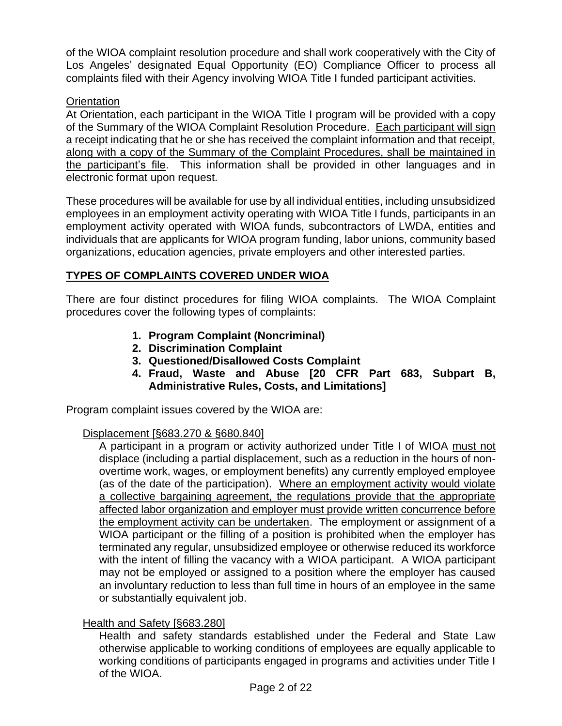of the WIOA complaint resolution procedure and shall work cooperatively with the City of Los Angeles' designated Equal Opportunity (EO) Compliance Officer to process all complaints filed with their Agency involving WIOA Title I funded participant activities.

#### **Orientation**

At Orientation, each participant in the WIOA Title I program will be provided with a copy of the Summary of the WIOA Complaint Resolution Procedure. Each participant will sign a receipt indicating that he or she has received the complaint information and that receipt, along with a copy of the Summary of the Complaint Procedures, shall be maintained in the participant's file. This information shall be provided in other languages and in electronic format upon request.

These procedures will be available for use by all individual entities, including unsubsidized employees in an employment activity operating with WIOA Title I funds, participants in an employment activity operated with WIOA funds, subcontractors of LWDA, entities and individuals that are applicants for WIOA program funding, labor unions, community based organizations, education agencies, private employers and other interested parties.

#### **TYPES OF COMPLAINTS COVERED UNDER WIOA**

There are four distinct procedures for filing WIOA complaints. The WIOA Complaint procedures cover the following types of complaints:

- **1. Program Complaint (Noncriminal)**
- **2. Discrimination Complaint**
- **3. Questioned/Disallowed Costs Complaint**
- **4. Fraud, Waste and Abuse [20 CFR Part 683, Subpart B, Administrative Rules, Costs, and Limitations]**

Program complaint issues covered by the WIOA are:

#### Displacement [§683.270 & §680.840]

A participant in a program or activity authorized under Title I of WIOA must not displace (including a partial displacement, such as a reduction in the hours of nonovertime work, wages, or employment benefits) any currently employed employee (as of the date of the participation). Where an employment activity would violate a collective bargaining agreement, the regulations provide that the appropriate affected labor organization and employer must provide written concurrence before the employment activity can be undertaken. The employment or assignment of a WIOA participant or the filling of a position is prohibited when the employer has terminated any regular, unsubsidized employee or otherwise reduced its workforce with the intent of filling the vacancy with a WIOA participant. A WIOA participant may not be employed or assigned to a position where the employer has caused an involuntary reduction to less than full time in hours of an employee in the same or substantially equivalent job.

#### Health and Safety [§683.280]

Health and safety standards established under the Federal and State Law otherwise applicable to working conditions of employees are equally applicable to working conditions of participants engaged in programs and activities under Title I of the WIOA.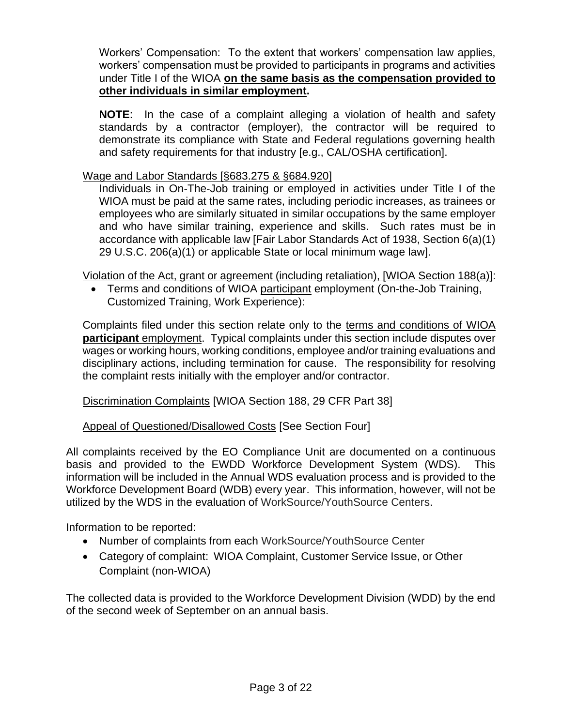Workers' Compensation: To the extent that workers' compensation law applies, workers' compensation must be provided to participants in programs and activities under Title I of the WIOA **on the same basis as the compensation provided to other individuals in similar employment.**

**NOTE**: In the case of a complaint alleging a violation of health and safety standards by a contractor (employer), the contractor will be required to demonstrate its compliance with State and Federal regulations governing health and safety requirements for that industry [e.g., CAL/OSHA certification].

#### Wage and Labor Standards [§683.275 & §684.920]

Individuals in On-The-Job training or employed in activities under Title I of the WIOA must be paid at the same rates, including periodic increases, as trainees or employees who are similarly situated in similar occupations by the same employer and who have similar training, experience and skills. Such rates must be in accordance with applicable law [Fair Labor Standards Act of 1938, Section 6(a)(1) 29 U.S.C. 206(a)(1) or applicable State or local minimum wage law].

Violation of the Act, grant or agreement (including retaliation), [WIOA Section 188(a)]:

• Terms and conditions of WIOA participant employment (On-the-Job Training, Customized Training, Work Experience):

Complaints filed under this section relate only to the terms and conditions of WIOA **participant** employment. Typical complaints under this section include disputes over wages or working hours, working conditions, employee and/or training evaluations and disciplinary actions, including termination for cause. The responsibility for resolving the complaint rests initially with the employer and/or contractor.

Discrimination Complaints [WIOA Section 188, 29 CFR Part 38]

#### Appeal of Questioned/Disallowed Costs [See Section Four]

All complaints received by the EO Compliance Unit are documented on a continuous basis and provided to the EWDD Workforce Development System (WDS). This information will be included in the Annual WDS evaluation process and is provided to the Workforce Development Board (WDB) every year. This information, however, will not be utilized by the WDS in the evaluation of WorkSource/YouthSource Centers.

Information to be reported:

- Number of complaints from each WorkSource/YouthSource Center
- Category of complaint: WIOA Complaint, Customer Service Issue, or Other Complaint (non-WIOA)

The collected data is provided to the Workforce Development Division (WDD) by the end of the second week of September on an annual basis.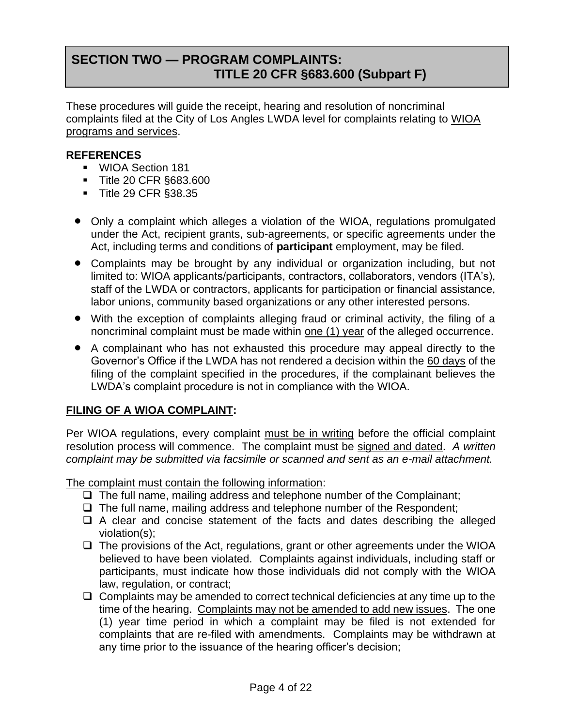### **SECTION TWO — PROGRAM COMPLAINTS: TITLE 20 CFR §683.600 (Subpart F)**

These procedures will guide the receipt, hearing and resolution of noncriminal complaints filed at the City of Los Angles LWDA level for complaints relating to WIOA programs and services.

#### **REFERENCES**

- WIOA Section 181
- Title 20 CFR §683.600
- Title 29 CFR §38.35
- Only a complaint which alleges a violation of the WIOA, regulations promulgated under the Act, recipient grants, sub-agreements, or specific agreements under the Act, including terms and conditions of **participant** employment, may be filed.
- Complaints may be brought by any individual or organization including, but not limited to: WIOA applicants/participants, contractors, collaborators, vendors (ITA's), staff of the LWDA or contractors, applicants for participation or financial assistance, labor unions, community based organizations or any other interested persons.
- With the exception of complaints alleging fraud or criminal activity, the filing of a noncriminal complaint must be made within one (1) year of the alleged occurrence.
- A complainant who has not exhausted this procedure may appeal directly to the Governor's Office if the LWDA has not rendered a decision within the 60 days of the filing of the complaint specified in the procedures, if the complainant believes the LWDA's complaint procedure is not in compliance with the WIOA.

#### **FILING OF A WIOA COMPLAINT:**

Per WIOA regulations, every complaint must be in writing before the official complaint resolution process will commence. The complaint must be signed and dated.*A written complaint may be submitted via facsimile or scanned and sent as an e-mail attachment.*

The complaint must contain the following information:

- ❑ The full name, mailing address and telephone number of the Complainant;
- ❑ The full name, mailing address and telephone number of the Respondent;
- ❑ A clear and concise statement of the facts and dates describing the alleged violation(s);
- ❑ The provisions of the Act, regulations, grant or other agreements under the WIOA believed to have been violated. Complaints against individuals, including staff or participants, must indicate how those individuals did not comply with the WIOA law, regulation, or contract;
- ❑ Complaints may be amended to correct technical deficiencies at any time up to the time of the hearing. Complaints may not be amended to add new issues. The one (1) year time period in which a complaint may be filed is not extended for complaints that are re-filed with amendments. Complaints may be withdrawn at any time prior to the issuance of the hearing officer's decision;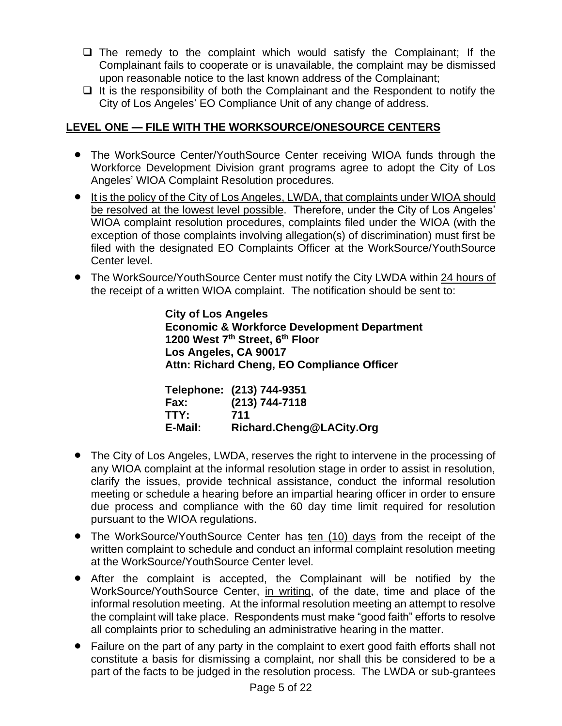- ❑ The remedy to the complaint which would satisfy the Complainant; If the Complainant fails to cooperate or is unavailable, the complaint may be dismissed upon reasonable notice to the last known address of the Complainant;
- ❑ It is the responsibility of both the Complainant and the Respondent to notify the City of Los Angeles' EO Compliance Unit of any change of address.

#### **LEVEL ONE — FILE WITH THE WORKSOURCE/ONESOURCE CENTERS**

- The WorkSource Center/YouthSource Center receiving WIOA funds through the Workforce Development Division grant programs agree to adopt the City of Los Angeles' WIOA Complaint Resolution procedures.
- It is the policy of the City of Los Angeles, LWDA, that complaints under WIOA should be resolved at the lowest level possible. Therefore, under the City of Los Angeles' WIOA complaint resolution procedures, complaints filed under the WIOA (with the exception of those complaints involving allegation(s) of discrimination) must first be filed with the designated EO Complaints Officer at the WorkSource/YouthSource Center level.
- The WorkSource/YouthSource Center must notify the City LWDA within 24 hours of the receipt of a written WIOA complaint. The notification should be sent to:

**City of Los Angeles Economic & Workforce Development Department 1200 West 7th Street, 6th Floor Los Angeles, CA 90017 Attn: Richard Cheng, EO Compliance Officer**

|         | Telephone: (213) 744-9351 |
|---------|---------------------------|
| Fax:    | $(213) 744 - 7118$        |
| TTY:    | 711                       |
| E-Mail: | Richard.Cheng@LACity.Org  |

- The City of Los Angeles, LWDA, reserves the right to intervene in the processing of any WIOA complaint at the informal resolution stage in order to assist in resolution, clarify the issues, provide technical assistance, conduct the informal resolution meeting or schedule a hearing before an impartial hearing officer in order to ensure due process and compliance with the 60 day time limit required for resolution pursuant to the WIOA regulations.
- The WorkSource/YouthSource Center has ten (10) days from the receipt of the written complaint to schedule and conduct an informal complaint resolution meeting at the WorkSource/YouthSource Center level.
- After the complaint is accepted, the Complainant will be notified by the WorkSource/YouthSource Center, in writing, of the date, time and place of the informal resolution meeting. At the informal resolution meeting an attempt to resolve the complaint will take place. Respondents must make "good faith" efforts to resolve all complaints prior to scheduling an administrative hearing in the matter.
- Failure on the part of any party in the complaint to exert good faith efforts shall not constitute a basis for dismissing a complaint, nor shall this be considered to be a part of the facts to be judged in the resolution process. The LWDA or sub-grantees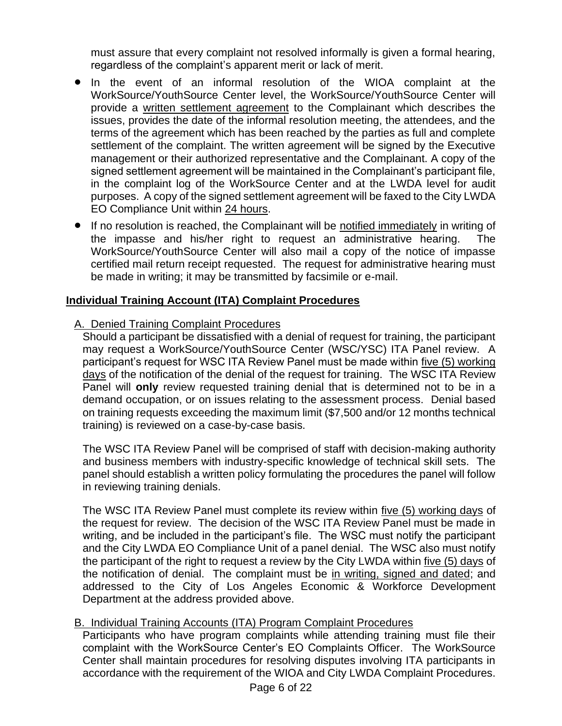must assure that every complaint not resolved informally is given a formal hearing, regardless of the complaint's apparent merit or lack of merit.

- In the event of an informal resolution of the WIOA complaint at the WorkSource/YouthSource Center level, the WorkSource/YouthSource Center will provide a written settlement agreement to the Complainant which describes the issues, provides the date of the informal resolution meeting, the attendees, and the terms of the agreement which has been reached by the parties as full and complete settlement of the complaint. The written agreement will be signed by the Executive management or their authorized representative and the Complainant. A copy of the signed settlement agreement will be maintained in the Complainant's participant file, in the complaint log of the WorkSource Center and at the LWDA level for audit purposes. A copy of the signed settlement agreement will be faxed to the City LWDA EO Compliance Unit within 24 hours.
- If no resolution is reached, the Complainant will be notified immediately in writing of the impasse and his/her right to request an administrative hearing. The WorkSource/YouthSource Center will also mail a copy of the notice of impasse certified mail return receipt requested. The request for administrative hearing must be made in writing; it may be transmitted by facsimile or e-mail.

#### **Individual Training Account (ITA) Complaint Procedures**

#### A. Denied Training Complaint Procedures

Should a participant be dissatisfied with a denial of request for training, the participant may request a WorkSource/YouthSource Center (WSC/YSC) ITA Panel review. A participant's request for WSC ITA Review Panel must be made within five (5) working days of the notification of the denial of the request for training. The WSC ITA Review Panel will **only** review requested training denial that is determined not to be in a demand occupation, or on issues relating to the assessment process. Denial based on training requests exceeding the maximum limit (\$7,500 and/or 12 months technical training) is reviewed on a case-by-case basis.

The WSC ITA Review Panel will be comprised of staff with decision-making authority and business members with industry-specific knowledge of technical skill sets. The panel should establish a written policy formulating the procedures the panel will follow in reviewing training denials.

The WSC ITA Review Panel must complete its review within five (5) working days of the request for review. The decision of the WSC ITA Review Panel must be made in writing, and be included in the participant's file. The WSC must notify the participant and the City LWDA EO Compliance Unit of a panel denial. The WSC also must notify the participant of the right to request a review by the City LWDA within five (5) days of the notification of denial. The complaint must be in writing, signed and dated; and addressed to the City of Los Angeles Economic & Workforce Development Department at the address provided above.

#### B. Individual Training Accounts (ITA) Program Complaint Procedures

Participants who have program complaints while attending training must file their complaint with the WorkSource Center's EO Complaints Officer. The WorkSource Center shall maintain procedures for resolving disputes involving ITA participants in accordance with the requirement of the WIOA and City LWDA Complaint Procedures.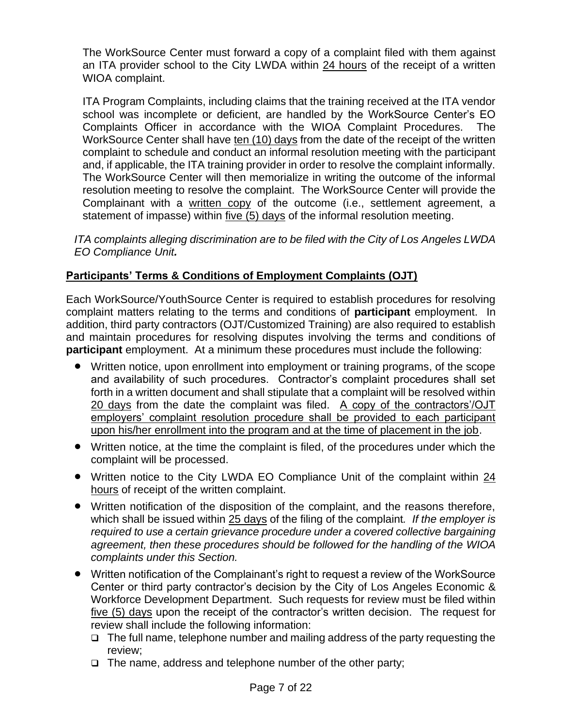The WorkSource Center must forward a copy of a complaint filed with them against an ITA provider school to the City LWDA within 24 hours of the receipt of a written WIOA complaint.

ITA Program Complaints, including claims that the training received at the ITA vendor school was incomplete or deficient, are handled by the WorkSource Center's EO Complaints Officer in accordance with the WIOA Complaint Procedures. The WorkSource Center shall have ten (10) days from the date of the receipt of the written complaint to schedule and conduct an informal resolution meeting with the participant and, if applicable, the ITA training provider in order to resolve the complaint informally. The WorkSource Center will then memorialize in writing the outcome of the informal resolution meeting to resolve the complaint. The WorkSource Center will provide the Complainant with a written copy of the outcome (i.e., settlement agreement, a statement of impasse) within <u>five (5) days</u> of the informal resolution meeting.

*ITA complaints alleging discrimination are to be filed with the City of Los Angeles LWDA EO Compliance Unit.*

#### **Participants' Terms & Conditions of Employment Complaints (OJT)**

Each WorkSource/YouthSource Center is required to establish procedures for resolving complaint matters relating to the terms and conditions of **participant** employment. In addition, third party contractors (OJT/Customized Training) are also required to establish and maintain procedures for resolving disputes involving the terms and conditions of **participant** employment. At a minimum these procedures must include the following:

- Written notice, upon enrollment into employment or training programs, of the scope and availability of such procedures. Contractor's complaint procedures shall set forth in a written document and shall stipulate that a complaint will be resolved within 20 days from the date the complaint was filed. A copy of the contractors'/OJT employers' complaint resolution procedure shall be provided to each participant upon his/her enrollment into the program and at the time of placement in the job.
- Written notice, at the time the complaint is filed, of the procedures under which the complaint will be processed.
- Written notice to the City LWDA EO Compliance Unit of the complaint within 24 hours of receipt of the written complaint.
- Written notification of the disposition of the complaint, and the reasons therefore, which shall be issued within 25 days of the filing of the complaint*. If the employer is required to use a certain grievance procedure under a covered collective bargaining agreement, then these procedures should be followed for the handling of the WIOA complaints under this Section.*
- Written notification of the Complainant's right to request a review of the WorkSource Center or third party contractor's decision by the City of Los Angeles Economic & Workforce Development Department. Such requests for review must be filed within five (5) days upon the receipt of the contractor's written decision. The request for review shall include the following information:
	- ❑ The full name, telephone number and mailing address of the party requesting the review;
	- ❑ The name, address and telephone number of the other party;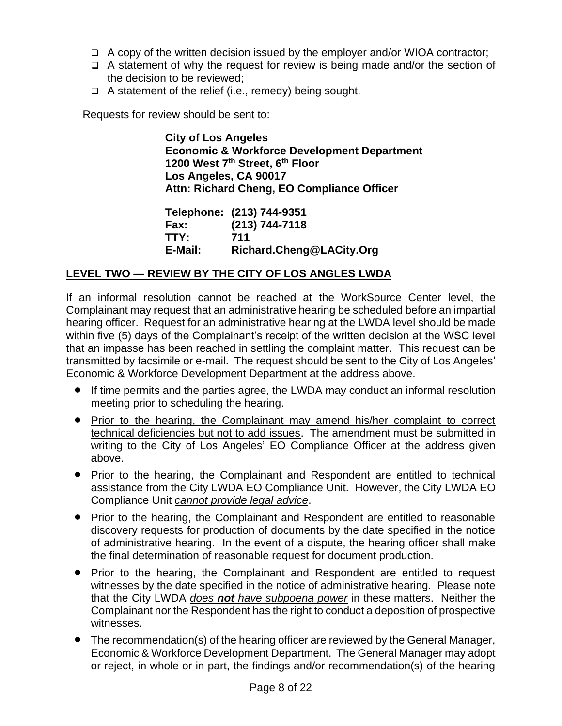- ❑ A copy of the written decision issued by the employer and/or WIOA contractor;
- ❑ A statement of why the request for review is being made and/or the section of the decision to be reviewed;
- ❑ A statement of the relief (i.e., remedy) being sought.

Requests for review should be sent to:

**City of Los Angeles Economic & Workforce Development Department 1200 West 7th Street, 6th Floor Los Angeles, CA 90017 Attn: Richard Cheng, EO Compliance Officer**

**Telephone: (213) 744-9351 Fax: (213) 744-7118 TTY: 711 E-Mail: Richard.Cheng@LACity.Org**

#### **LEVEL TWO — REVIEW BY THE CITY OF LOS ANGLES LWDA**

If an informal resolution cannot be reached at the WorkSource Center level, the Complainant may request that an administrative hearing be scheduled before an impartial hearing officer. Request for an administrative hearing at the LWDA level should be made within five (5) days of the Complainant's receipt of the written decision at the WSC level that an impasse has been reached in settling the complaint matter. This request can be transmitted by facsimile or e-mail. The request should be sent to the City of Los Angeles' Economic & Workforce Development Department at the address above.

- If time permits and the parties agree, the LWDA may conduct an informal resolution meeting prior to scheduling the hearing.
- Prior to the hearing, the Complainant may amend his/her complaint to correct technical deficiencies but not to add issues. The amendment must be submitted in writing to the City of Los Angeles' EO Compliance Officer at the address given above.
- Prior to the hearing, the Complainant and Respondent are entitled to technical assistance from the City LWDA EO Compliance Unit. However, the City LWDA EO Compliance Unit *cannot provide legal advice*.
- Prior to the hearing, the Complainant and Respondent are entitled to reasonable discovery requests for production of documents by the date specified in the notice of administrative hearing. In the event of a dispute, the hearing officer shall make the final determination of reasonable request for document production.
- Prior to the hearing, the Complainant and Respondent are entitled to request witnesses by the date specified in the notice of administrative hearing. Please note that the City LWDA *does not have subpoena power* in these matters. Neither the Complainant nor the Respondent has the right to conduct a deposition of prospective witnesses.
- The recommendation(s) of the hearing officer are reviewed by the General Manager, Economic & Workforce Development Department. The General Manager may adopt or reject, in whole or in part, the findings and/or recommendation(s) of the hearing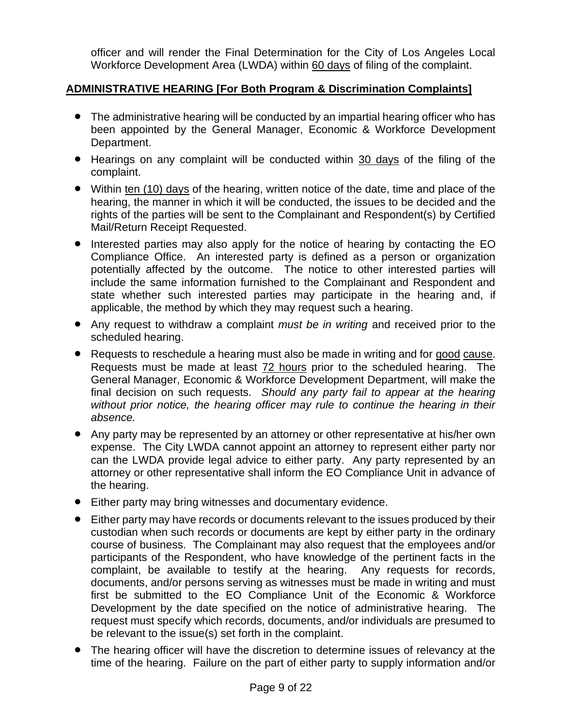officer and will render the Final Determination for the City of Los Angeles Local Workforce Development Area (LWDA) within 60 days of filing of the complaint.

#### **ADMINISTRATIVE HEARING [For Both Program & Discrimination Complaints]**

- The administrative hearing will be conducted by an impartial hearing officer who has been appointed by the General Manager, Economic & Workforce Development Department.
- Hearings on any complaint will be conducted within 30 days of the filing of the complaint.
- Within ten (10) days of the hearing, written notice of the date, time and place of the hearing, the manner in which it will be conducted, the issues to be decided and the rights of the parties will be sent to the Complainant and Respondent(s) by Certified Mail/Return Receipt Requested.
- Interested parties may also apply for the notice of hearing by contacting the EO Compliance Office. An interested party is defined as a person or organization potentially affected by the outcome. The notice to other interested parties will include the same information furnished to the Complainant and Respondent and state whether such interested parties may participate in the hearing and, if applicable, the method by which they may request such a hearing.
- Any request to withdraw a complaint *must be in writing* and received prior to the scheduled hearing.
- Requests to reschedule a hearing must also be made in writing and for good cause. Requests must be made at least 72 hours prior to the scheduled hearing. The General Manager, Economic & Workforce Development Department, will make the final decision on such requests. *Should any party fail to appear at the hearing*  without prior notice, the hearing officer may rule to continue the hearing in their *absence.*
- Any party may be represented by an attorney or other representative at his/her own expense. The City LWDA cannot appoint an attorney to represent either party nor can the LWDA provide legal advice to either party. Any party represented by an attorney or other representative shall inform the EO Compliance Unit in advance of the hearing.
- Either party may bring witnesses and documentary evidence.
- Either party may have records or documents relevant to the issues produced by their custodian when such records or documents are kept by either party in the ordinary course of business. The Complainant may also request that the employees and/or participants of the Respondent, who have knowledge of the pertinent facts in the complaint, be available to testify at the hearing. Any requests for records, documents, and/or persons serving as witnesses must be made in writing and must first be submitted to the EO Compliance Unit of the Economic & Workforce Development by the date specified on the notice of administrative hearing. The request must specify which records, documents, and/or individuals are presumed to be relevant to the issue(s) set forth in the complaint.
- The hearing officer will have the discretion to determine issues of relevancy at the time of the hearing. Failure on the part of either party to supply information and/or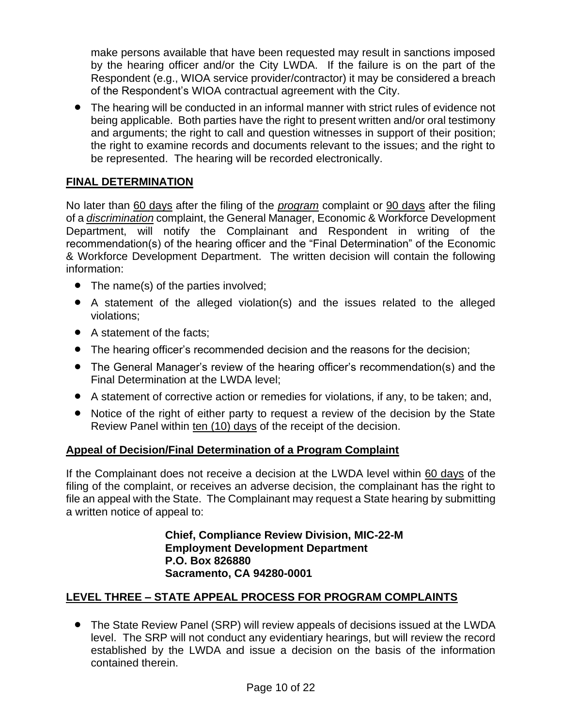make persons available that have been requested may result in sanctions imposed by the hearing officer and/or the City LWDA. If the failure is on the part of the Respondent (e.g., WIOA service provider/contractor) it may be considered a breach of the Respondent's WIOA contractual agreement with the City.

• The hearing will be conducted in an informal manner with strict rules of evidence not being applicable. Both parties have the right to present written and/or oral testimony and arguments; the right to call and question witnesses in support of their position; the right to examine records and documents relevant to the issues; and the right to be represented. The hearing will be recorded electronically.

#### **FINAL DETERMINATION**

No later than 60 days after the filing of the *program* complaint or 90 days after the filing of a *discrimination* complaint, the General Manager, Economic & Workforce Development Department, will notify the Complainant and Respondent in writing of the recommendation(s) of the hearing officer and the "Final Determination" of the Economic & Workforce Development Department. The written decision will contain the following information:

- The name(s) of the parties involved;
- A statement of the alleged violation(s) and the issues related to the alleged violations;
- A statement of the facts;
- The hearing officer's recommended decision and the reasons for the decision;
- The General Manager's review of the hearing officer's recommendation(s) and the Final Determination at the LWDA level;
- A statement of corrective action or remedies for violations, if any, to be taken; and,
- Notice of the right of either party to request a review of the decision by the State Review Panel within ten (10) days of the receipt of the decision.

#### **Appeal of Decision/Final Determination of a Program Complaint**

If the Complainant does not receive a decision at the LWDA level within 60 days of the filing of the complaint, or receives an adverse decision, the complainant has the right to file an appeal with the State. The Complainant may request a State hearing by submitting a written notice of appeal to:

> **Chief, Compliance Review Division, MIC-22-M Employment Development Department P.O. Box 826880 Sacramento, CA 94280-0001**

#### **LEVEL THREE – STATE APPEAL PROCESS FOR PROGRAM COMPLAINTS**

• The State Review Panel (SRP) will review appeals of decisions issued at the LWDA level. The SRP will not conduct any evidentiary hearings, but will review the record established by the LWDA and issue a decision on the basis of the information contained therein.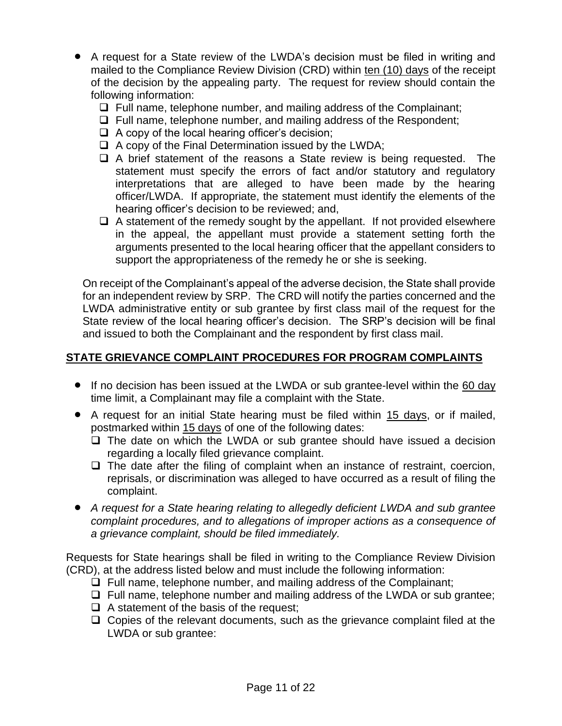- A request for a State review of the LWDA's decision must be filed in writing and mailed to the Compliance Review Division (CRD) within ten (10) days of the receipt of the decision by the appealing party. The request for review should contain the following information:
	- ❑ Full name, telephone number, and mailing address of the Complainant;
	- ❑ Full name, telephone number, and mailing address of the Respondent;
	- $\Box$  A copy of the local hearing officer's decision;
	- ❑ A copy of the Final Determination issued by the LWDA;
	- ❑ A brief statement of the reasons a State review is being requested. The statement must specify the errors of fact and/or statutory and regulatory interpretations that are alleged to have been made by the hearing officer/LWDA. If appropriate, the statement must identify the elements of the hearing officer's decision to be reviewed; and,
	- $\Box$  A statement of the remedy sought by the appellant. If not provided elsewhere in the appeal, the appellant must provide a statement setting forth the arguments presented to the local hearing officer that the appellant considers to support the appropriateness of the remedy he or she is seeking.

On receipt of the Complainant's appeal of the adverse decision, the State shall provide for an independent review by SRP. The CRD will notify the parties concerned and the LWDA administrative entity or sub grantee by first class mail of the request for the State review of the local hearing officer's decision. The SRP's decision will be final and issued to both the Complainant and the respondent by first class mail.

#### **STATE GRIEVANCE COMPLAINT PROCEDURES FOR PROGRAM COMPLAINTS**

- If no decision has been issued at the LWDA or sub grantee-level within the 60 day time limit, a Complainant may file a complaint with the State.
- A request for an initial State hearing must be filed within 15 days, or if mailed, postmarked within 15 days of one of the following dates:
	- ❑ The date on which the LWDA or sub grantee should have issued a decision regarding a locally filed grievance complaint.
	- ❑ The date after the filing of complaint when an instance of restraint, coercion, reprisals, or discrimination was alleged to have occurred as a result of filing the complaint.
- *A request for a State hearing relating to allegedly deficient LWDA and sub grantee complaint procedures, and to allegations of improper actions as a consequence of a grievance complaint, should be filed immediately.*

Requests for State hearings shall be filed in writing to the Compliance Review Division (CRD), at the address listed below and must include the following information:

- ❑ Full name, telephone number, and mailing address of the Complainant;
- ❑ Full name, telephone number and mailing address of the LWDA or sub grantee;
- $\Box$  A statement of the basis of the request;
- ❑ Copies of the relevant documents, such as the grievance complaint filed at the LWDA or sub grantee: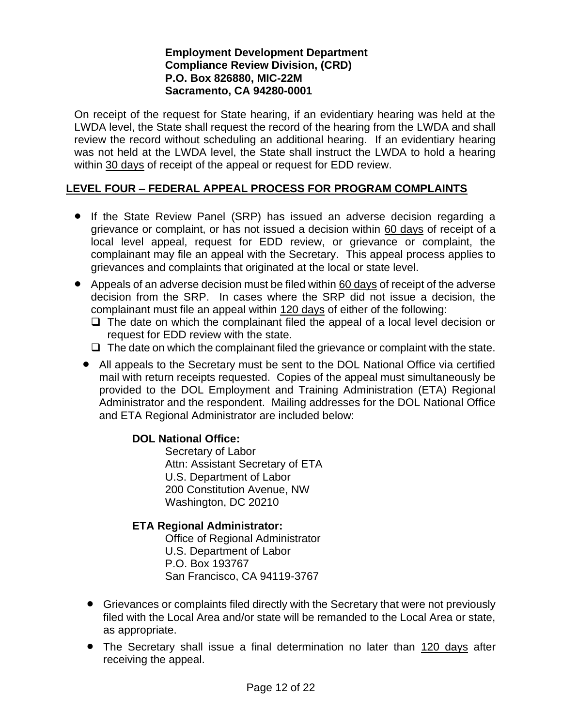#### **Employment Development Department Compliance Review Division, (CRD) P.O. Box 826880, MIC-22M Sacramento, CA 94280-0001**

On receipt of the request for State hearing, if an evidentiary hearing was held at the LWDA level, the State shall request the record of the hearing from the LWDA and shall review the record without scheduling an additional hearing. If an evidentiary hearing was not held at the LWDA level, the State shall instruct the LWDA to hold a hearing within 30 days of receipt of the appeal or request for EDD review.

#### **LEVEL FOUR – FEDERAL APPEAL PROCESS FOR PROGRAM COMPLAINTS**

- If the State Review Panel (SRP) has issued an adverse decision regarding a grievance or complaint, or has not issued a decision within 60 days of receipt of a local level appeal, request for EDD review, or grievance or complaint, the complainant may file an appeal with the Secretary. This appeal process applies to grievances and complaints that originated at the local or state level.
- Appeals of an adverse decision must be filed within 60 days of receipt of the adverse decision from the SRP. In cases where the SRP did not issue a decision, the complainant must file an appeal within 120 days of either of the following:
	- ❑ The date on which the complainant filed the appeal of a local level decision or request for EDD review with the state.
	- $\Box$  The date on which the complainant filed the grievance or complaint with the state.
	- All appeals to the Secretary must be sent to the DOL National Office via certified mail with return receipts requested. Copies of the appeal must simultaneously be provided to the DOL Employment and Training Administration (ETA) Regional Administrator and the respondent. Mailing addresses for the DOL National Office and ETA Regional Administrator are included below:

#### **DOL National Office:**

Secretary of Labor Attn: Assistant Secretary of ETA U.S. Department of Labor 200 Constitution Avenue, NW Washington, DC 20210

#### **ETA Regional Administrator:**

Office of Regional Administrator U.S. Department of Labor P.O. Box 193767 San Francisco, CA 94119-3767

- Grievances or complaints filed directly with the Secretary that were not previously filed with the Local Area and/or state will be remanded to the Local Area or state, as appropriate.
- The Secretary shall issue a final determination no later than 120 days after receiving the appeal.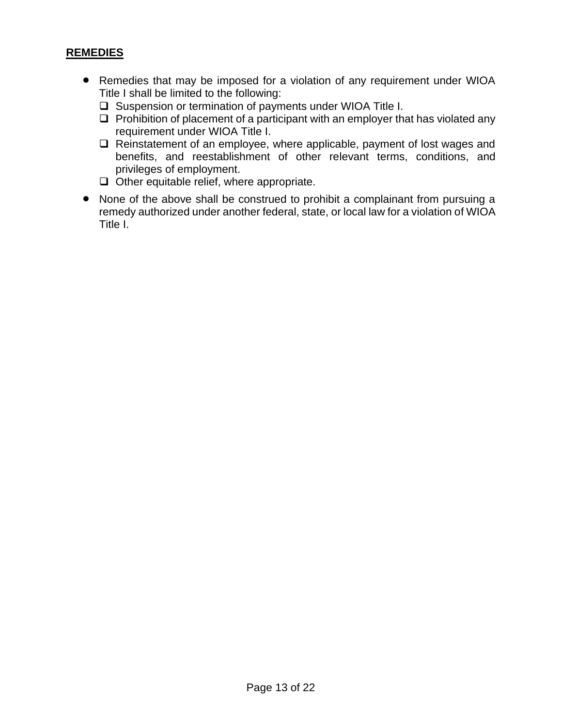#### **REMEDIES**

- Remedies that may be imposed for a violation of any requirement under WIOA Title I shall be limited to the following:
	- ❑ Suspension or termination of payments under WIOA Title I.
	- ❑ Prohibition of placement of a participant with an employer that has violated any requirement under WIOA Title I.
	- ❑ Reinstatement of an employee, where applicable, payment of lost wages and benefits, and reestablishment of other relevant terms, conditions, and privileges of employment.
	- ❑ Other equitable relief, where appropriate.
- None of the above shall be construed to prohibit a complainant from pursuing a remedy authorized under another federal, state, or local law for a violation of WIOA Title I.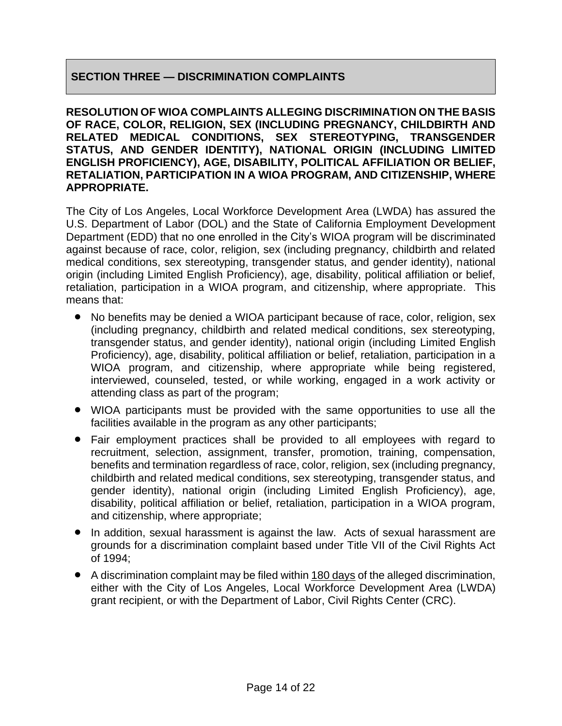#### **SECTION THREE — DISCRIMINATION COMPLAINTS**

**RESOLUTION OF WIOA COMPLAINTS ALLEGING DISCRIMINATION ON THE BASIS OF RACE, COLOR, RELIGION, SEX (INCLUDING PREGNANCY, CHILDBIRTH AND RELATED MEDICAL CONDITIONS, SEX STEREOTYPING, TRANSGENDER STATUS, AND GENDER IDENTITY), NATIONAL ORIGIN (INCLUDING LIMITED ENGLISH PROFICIENCY), AGE, DISABILITY, POLITICAL AFFILIATION OR BELIEF, RETALIATION, PARTICIPATION IN A WIOA PROGRAM, AND CITIZENSHIP, WHERE APPROPRIATE.**

The City of Los Angeles, Local Workforce Development Area (LWDA) has assured the U.S. Department of Labor (DOL) and the State of California Employment Development Department (EDD) that no one enrolled in the City's WIOA program will be discriminated against because of race, color, religion, sex (including pregnancy, childbirth and related medical conditions, sex stereotyping, transgender status, and gender identity), national origin (including Limited English Proficiency), age, disability, political affiliation or belief, retaliation, participation in a WIOA program, and citizenship, where appropriate. This means that:

- No benefits may be denied a WIOA participant because of race, color, religion, sex (including pregnancy, childbirth and related medical conditions, sex stereotyping, transgender status, and gender identity), national origin (including Limited English Proficiency), age, disability, political affiliation or belief, retaliation, participation in a WIOA program, and citizenship, where appropriate while being registered, interviewed, counseled, tested, or while working, engaged in a work activity or attending class as part of the program;
- WIOA participants must be provided with the same opportunities to use all the facilities available in the program as any other participants;
- Fair employment practices shall be provided to all employees with regard to recruitment, selection, assignment, transfer, promotion, training, compensation, benefits and termination regardless of race, color, religion, sex (including pregnancy, childbirth and related medical conditions, sex stereotyping, transgender status, and gender identity), national origin (including Limited English Proficiency), age, disability, political affiliation or belief, retaliation, participation in a WIOA program, and citizenship, where appropriate;
- In addition, sexual harassment is against the law. Acts of sexual harassment are grounds for a discrimination complaint based under Title VII of the Civil Rights Act of 1994;
- A discrimination complaint may be filed within 180 days of the alleged discrimination, either with the City of Los Angeles, Local Workforce Development Area (LWDA) grant recipient, or with the Department of Labor, Civil Rights Center (CRC).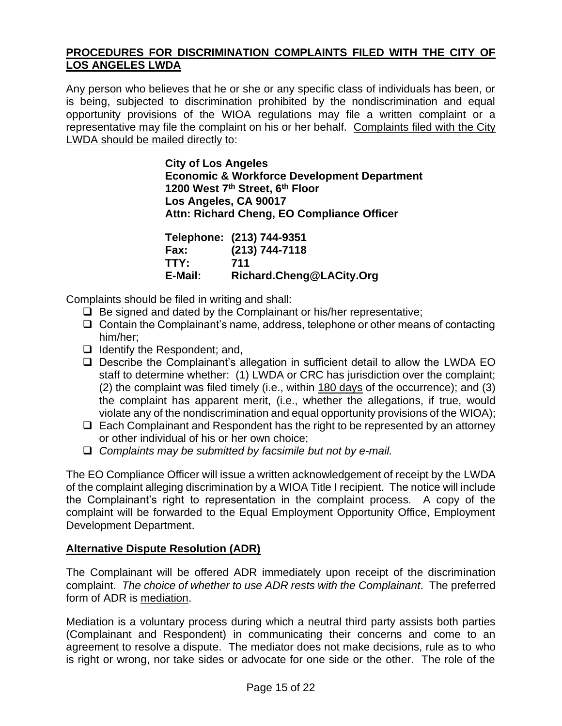#### **PROCEDURES FOR DISCRIMINATION COMPLAINTS FILED WITH THE CITY OF LOS ANGELES LWDA**

Any person who believes that he or she or any specific class of individuals has been, or is being, subjected to discrimination prohibited by the nondiscrimination and equal opportunity provisions of the WIOA regulations may file a written complaint or a representative may file the complaint on his or her behalf. Complaints filed with the City LWDA should be mailed directly to:

> **City of Los Angeles Economic & Workforce Development Department 1200 West 7th Street, 6th Floor Los Angeles, CA 90017 Attn: Richard Cheng, EO Compliance Officer**

|         | Telephone: (213) 744-9351 |
|---------|---------------------------|
| Fax:    | $(213) 744 - 7118$        |
| TTY:    | 711                       |
| E-Mail: | Richard.Cheng@LACity.Org  |

Complaints should be filed in writing and shall:

- ❑ Be signed and dated by the Complainant or his/her representative;
- ❑ Contain the Complainant's name, address, telephone or other means of contacting him/her;
- ❑ Identify the Respondent; and,
- ❑ Describe the Complainant's allegation in sufficient detail to allow the LWDA EO staff to determine whether: (1) LWDA or CRC has jurisdiction over the complaint; (2) the complaint was filed timely (i.e., within 180 days of the occurrence); and (3) the complaint has apparent merit, (i.e., whether the allegations, if true, would violate any of the nondiscrimination and equal opportunity provisions of the WIOA);
- ❑ Each Complainant and Respondent has the right to be represented by an attorney or other individual of his or her own choice;
- ❑ *Complaints may be submitted by facsimile but not by e-mail.*

The EO Compliance Officer will issue a written acknowledgement of receipt by the LWDA of the complaint alleging discrimination by a WIOA Title I recipient. The notice will include the Complainant's right to representation in the complaint process. A copy of the complaint will be forwarded to the Equal Employment Opportunity Office, Employment Development Department.

#### **Alternative Dispute Resolution (ADR)**

The Complainant will be offered ADR immediately upon receipt of the discrimination complaint. *The choice of whether to use ADR rests with the Complainant*. The preferred form of ADR is mediation.

Mediation is a voluntary process during which a neutral third party assists both parties (Complainant and Respondent) in communicating their concerns and come to an agreement to resolve a dispute. The mediator does not make decisions, rule as to who is right or wrong, nor take sides or advocate for one side or the other. The role of the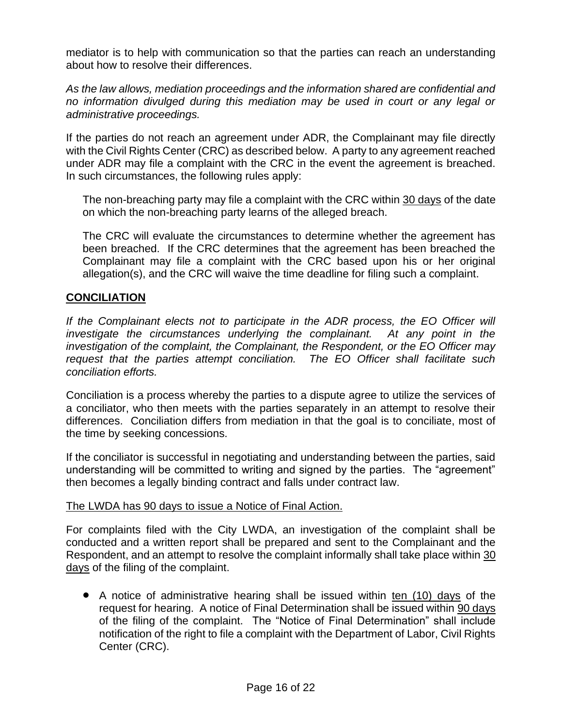mediator is to help with communication so that the parties can reach an understanding about how to resolve their differences.

*As the law allows, mediation proceedings and the information shared are confidential and no information divulged during this mediation may be used in court or any legal or administrative proceedings.*

If the parties do not reach an agreement under ADR, the Complainant may file directly with the Civil Rights Center (CRC) as described below. A party to any agreement reached under ADR may file a complaint with the CRC in the event the agreement is breached. In such circumstances, the following rules apply:

The non-breaching party may file a complaint with the CRC within 30 days of the date on which the non-breaching party learns of the alleged breach.

The CRC will evaluate the circumstances to determine whether the agreement has been breached. If the CRC determines that the agreement has been breached the Complainant may file a complaint with the CRC based upon his or her original allegation(s), and the CRC will waive the time deadline for filing such a complaint.

#### **CONCILIATION**

*If the Complainant elects not to participate in the ADR process, the EO Officer will investigate the circumstances underlying the complainant. At any point in the investigation of the complaint, the Complainant, the Respondent, or the EO Officer may request that the parties attempt conciliation. The EO Officer shall facilitate such conciliation efforts.*

Conciliation is a process whereby the parties to a dispute agree to utilize the services of a conciliator, who then meets with the parties separately in an attempt to resolve their differences. Conciliation differs from mediation in that the goal is to conciliate, most of the time by seeking concessions.

If the conciliator is successful in negotiating and understanding between the parties, said understanding will be committed to writing and signed by the parties. The "agreement" then becomes a legally binding contract and falls under contract law.

#### The LWDA has 90 days to issue a Notice of Final Action.

For complaints filed with the City LWDA, an investigation of the complaint shall be conducted and a written report shall be prepared and sent to the Complainant and the Respondent, and an attempt to resolve the complaint informally shall take place within 30 days of the filing of the complaint.

• A notice of administrative hearing shall be issued within ten (10) days of the request for hearing. A notice of Final Determination shall be issued within 90 days of the filing of the complaint. The "Notice of Final Determination" shall include notification of the right to file a complaint with the Department of Labor, Civil Rights Center (CRC).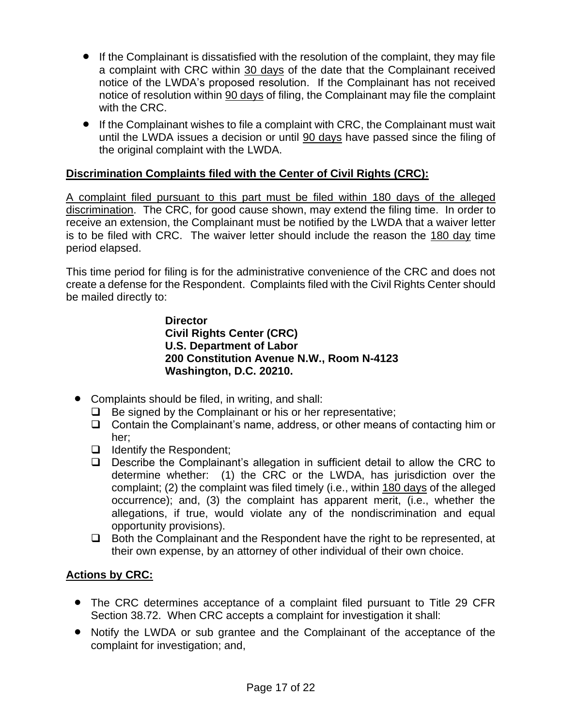- If the Complainant is dissatisfied with the resolution of the complaint, they may file a complaint with CRC within 30 days of the date that the Complainant received notice of the LWDA's proposed resolution. If the Complainant has not received notice of resolution within 90 days of filing, the Complainant may file the complaint with the CRC.
- If the Complainant wishes to file a complaint with CRC, the Complainant must wait until the LWDA issues a decision or until 90 days have passed since the filing of the original complaint with the LWDA.

#### **Discrimination Complaints filed with the Center of Civil Rights (CRC):**

A complaint filed pursuant to this part must be filed within 180 days of the alleged discrimination. The CRC, for good cause shown, may extend the filing time. In order to receive an extension, the Complainant must be notified by the LWDA that a waiver letter is to be filed with CRC. The waiver letter should include the reason the 180 day time period elapsed.

This time period for filing is for the administrative convenience of the CRC and does not create a defense for the Respondent. Complaints filed with the Civil Rights Center should be mailed directly to:

#### **Director Civil Rights Center (CRC) U.S. Department of Labor 200 Constitution Avenue N.W., Room N-4123 Washington, D.C. 20210.**

- Complaints should be filed, in writing, and shall:
	- ❑ Be signed by the Complainant or his or her representative;
	- ❑ Contain the Complainant's name, address, or other means of contacting him or her;
	- ❑ Identify the Respondent;
	- ❑ Describe the Complainant's allegation in sufficient detail to allow the CRC to determine whether: (1) the CRC or the LWDA, has jurisdiction over the complaint; (2) the complaint was filed timely (i.e., within 180 days of the alleged occurrence); and, (3) the complaint has apparent merit, (i.e., whether the allegations, if true, would violate any of the nondiscrimination and equal opportunity provisions).
	- ❑ Both the Complainant and the Respondent have the right to be represented, at their own expense, by an attorney of other individual of their own choice.

#### **Actions by CRC:**

- The CRC determines acceptance of a complaint filed pursuant to Title 29 CFR Section 38.72. When CRC accepts a complaint for investigation it shall:
- Notify the LWDA or sub grantee and the Complainant of the acceptance of the complaint for investigation; and,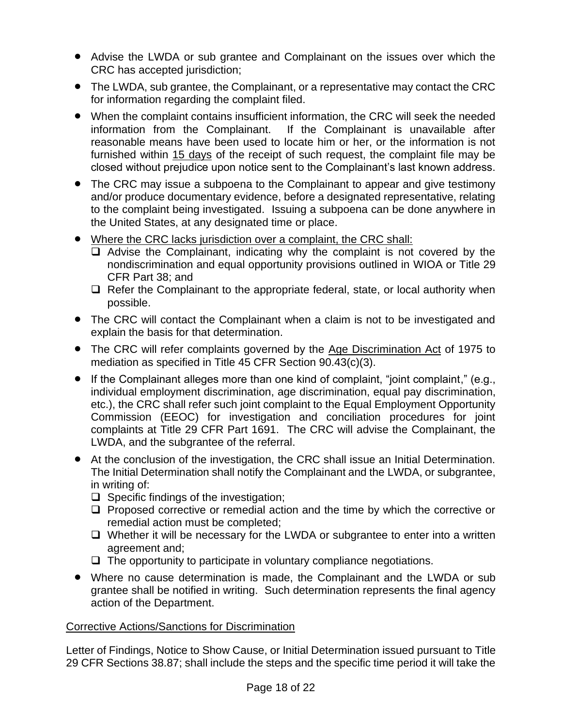- Advise the LWDA or sub grantee and Complainant on the issues over which the CRC has accepted jurisdiction;
- The LWDA, sub grantee, the Complainant, or a representative may contact the CRC for information regarding the complaint filed.
- When the complaint contains insufficient information, the CRC will seek the needed information from the Complainant. If the Complainant is unavailable after reasonable means have been used to locate him or her, or the information is not furnished within 15 days of the receipt of such request, the complaint file may be closed without prejudice upon notice sent to the Complainant's last known address.
- The CRC may issue a subpoena to the Complainant to appear and give testimony and/or produce documentary evidence, before a designated representative, relating to the complaint being investigated. Issuing a subpoena can be done anywhere in the United States, at any designated time or place.
- Where the CRC lacks jurisdiction over a complaint, the CRC shall:
	- ❑ Advise the Complainant, indicating why the complaint is not covered by the nondiscrimination and equal opportunity provisions outlined in WIOA or Title 29 CFR Part 38; and
	- ❑ Refer the Complainant to the appropriate federal, state, or local authority when possible.
- The CRC will contact the Complainant when a claim is not to be investigated and explain the basis for that determination.
- The CRC will refer complaints governed by the Age Discrimination Act of 1975 to mediation as specified in Title 45 CFR Section 90.43(c)(3).
- If the Complainant alleges more than one kind of complaint, "joint complaint," (e.g., individual employment discrimination, age discrimination, equal pay discrimination, etc.), the CRC shall refer such joint complaint to the Equal Employment Opportunity Commission (EEOC) for investigation and conciliation procedures for joint complaints at Title 29 CFR Part 1691. The CRC will advise the Complainant, the LWDA, and the subgrantee of the referral.
- At the conclusion of the investigation, the CRC shall issue an Initial Determination. The Initial Determination shall notify the Complainant and the LWDA, or subgrantee, in writing of:
	- ❑ Specific findings of the investigation;
	- ❑ Proposed corrective or remedial action and the time by which the corrective or remedial action must be completed;
	- ❑ Whether it will be necessary for the LWDA or subgrantee to enter into a written agreement and;
	- ❑ The opportunity to participate in voluntary compliance negotiations.
- Where no cause determination is made, the Complainant and the LWDA or sub grantee shall be notified in writing. Such determination represents the final agency action of the Department.

#### Corrective Actions/Sanctions for Discrimination

Letter of Findings, Notice to Show Cause, or Initial Determination issued pursuant to Title 29 CFR Sections 38.87; shall include the steps and the specific time period it will take the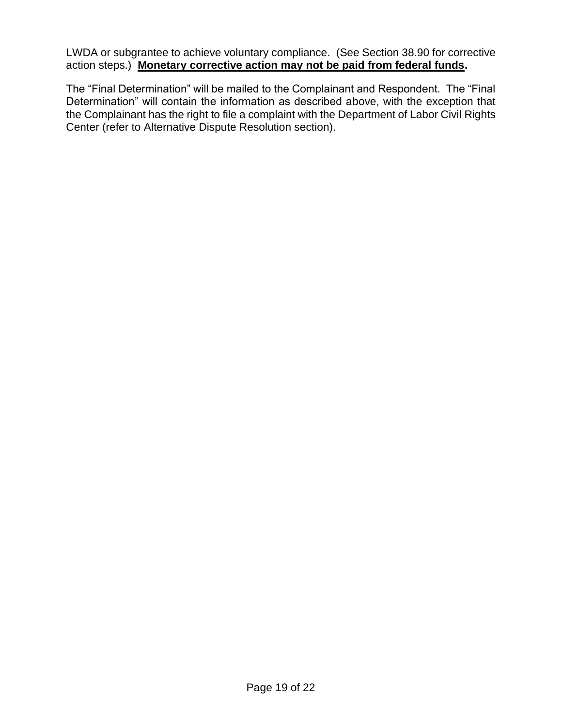LWDA or subgrantee to achieve voluntary compliance. (See Section 38.90 for corrective action steps.) **Monetary corrective action may not be paid from federal funds.**

The "Final Determination" will be mailed to the Complainant and Respondent. The "Final Determination" will contain the information as described above, with the exception that the Complainant has the right to file a complaint with the Department of Labor Civil Rights Center (refer to Alternative Dispute Resolution section).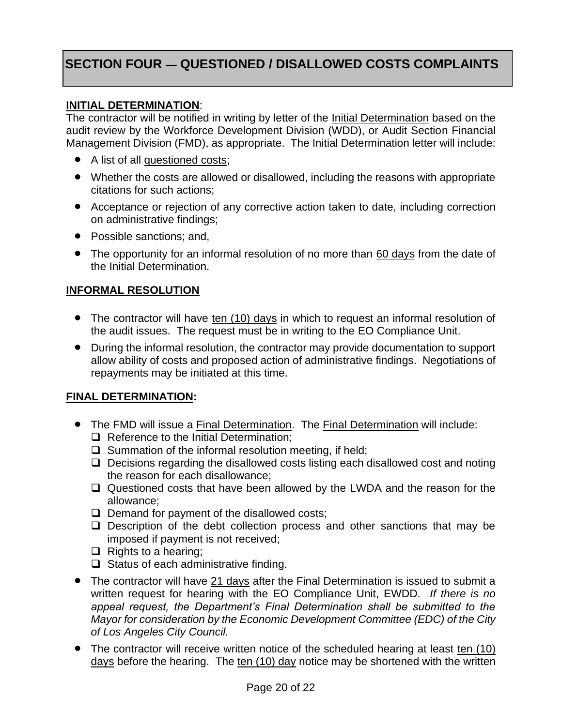## **SECTION FOUR — QUESTIONED / DISALLOWED COSTS COMPLAINTS**

#### **INITIAL DETERMINATION**:

The contractor will be notified in writing by letter of the Initial Determination based on the audit review by the Workforce Development Division (WDD), or Audit Section Financial Management Division (FMD), as appropriate. The Initial Determination letter will include:

- A list of all questioned costs;
- Whether the costs are allowed or disallowed, including the reasons with appropriate citations for such actions;
- Acceptance or rejection of any corrective action taken to date, including correction on administrative findings;
- Possible sanctions; and,
- The opportunity for an informal resolution of no more than 60 days from the date of the Initial Determination.

#### **INFORMAL RESOLUTION**

- The contractor will have ten (10) days in which to request an informal resolution of the audit issues. The request must be in writing to the EO Compliance Unit.
- During the informal resolution, the contractor may provide documentation to support allow ability of costs and proposed action of administrative findings. Negotiations of repayments may be initiated at this time.

#### **FINAL DETERMINATION:**

- The FMD will issue a Final Determination. The Final Determination will include:
	- ❑ Reference to the Initial Determination;
	- ❑ Summation of the informal resolution meeting, if held;
	- ❑ Decisions regarding the disallowed costs listing each disallowed cost and noting the reason for each disallowance;
	- ❑ Questioned costs that have been allowed by the LWDA and the reason for the allowance;
	- ❑ Demand for payment of the disallowed costs;
	- ❑ Description of the debt collection process and other sanctions that may be imposed if payment is not received;
	- ❑ Rights to a hearing;
	- ❑ Status of each administrative finding.
- The contractor will have 21 days after the Final Determination is issued to submit a written request for hearing with the EO Compliance Unit, EWDD. *If there is no*  appeal request, the Department's Final Determination shall be submitted to the *Mayor for consideration by the Economic Development Committee (EDC) of the City of Los Angeles City Council.*
- The contractor will receive written notice of the scheduled hearing at least ten (10) days before the hearing. The ten (10) day notice may be shortened with the written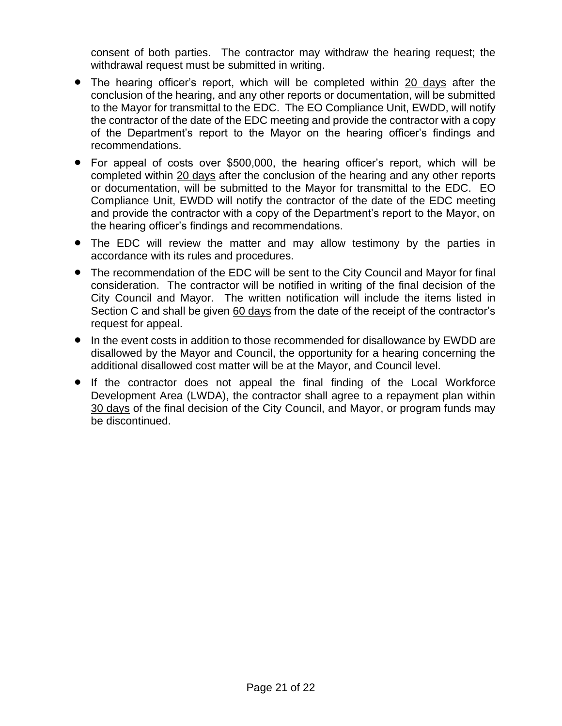consent of both parties. The contractor may withdraw the hearing request; the withdrawal request must be submitted in writing.

- The hearing officer's report, which will be completed within 20 days after the conclusion of the hearing, and any other reports or documentation, will be submitted to the Mayor for transmittal to the EDC. The EO Compliance Unit, EWDD, will notify the contractor of the date of the EDC meeting and provide the contractor with a copy of the Department's report to the Mayor on the hearing officer's findings and recommendations.
- For appeal of costs over \$500,000, the hearing officer's report, which will be completed within 20 days after the conclusion of the hearing and any other reports or documentation, will be submitted to the Mayor for transmittal to the EDC. EO Compliance Unit, EWDD will notify the contractor of the date of the EDC meeting and provide the contractor with a copy of the Department's report to the Mayor, on the hearing officer's findings and recommendations.
- The EDC will review the matter and may allow testimony by the parties in accordance with its rules and procedures.
- The recommendation of the EDC will be sent to the City Council and Mayor for final consideration. The contractor will be notified in writing of the final decision of the City Council and Mayor. The written notification will include the items listed in Section C and shall be given 60 days from the date of the receipt of the contractor's request for appeal.
- In the event costs in addition to those recommended for disallowance by EWDD are disallowed by the Mayor and Council, the opportunity for a hearing concerning the additional disallowed cost matter will be at the Mayor, and Council level.
- If the contractor does not appeal the final finding of the Local Workforce Development Area (LWDA), the contractor shall agree to a repayment plan within 30 days of the final decision of the City Council, and Mayor, or program funds may be discontinued.